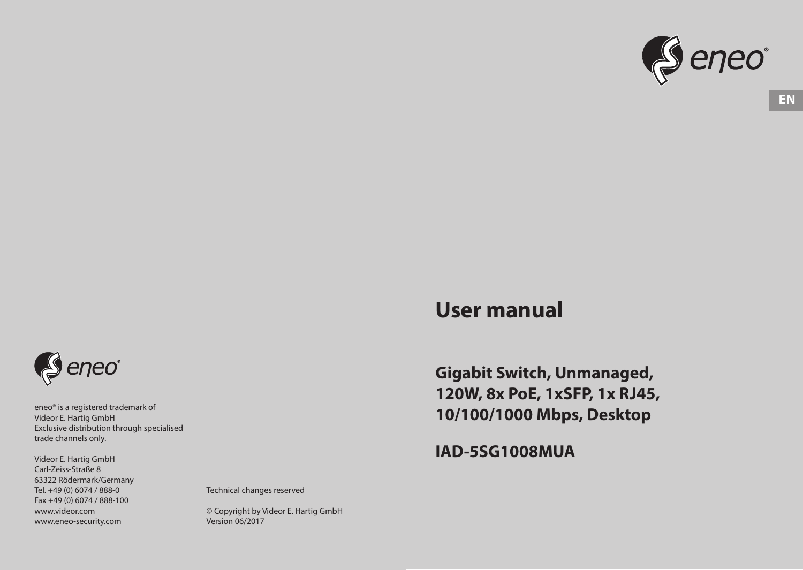

# **User manual**

**Gigabit Switch, Unmanaged, 120W, 8x PoE, 1xSFP, 1x RJ45, 10/100/1000 Mbps, Desktop** 

**IAD-5SG1008MUA**



eneo® is a registered trademark of Videor E. Hartig GmbH Exclusive distribution through specialised trade channels only.

Videor E. Hartig GmbH Carl-Zeiss-Straße 8 63322 Rödermark/Germany Tel. +49 (0) 6074 / 888-0 Fax +49 (0) 6074 / 888-100 www.videor.com www.eneo-security.com

Technical changes reserved

© Copyright by Videor E. Hartig GmbH Version 06/2017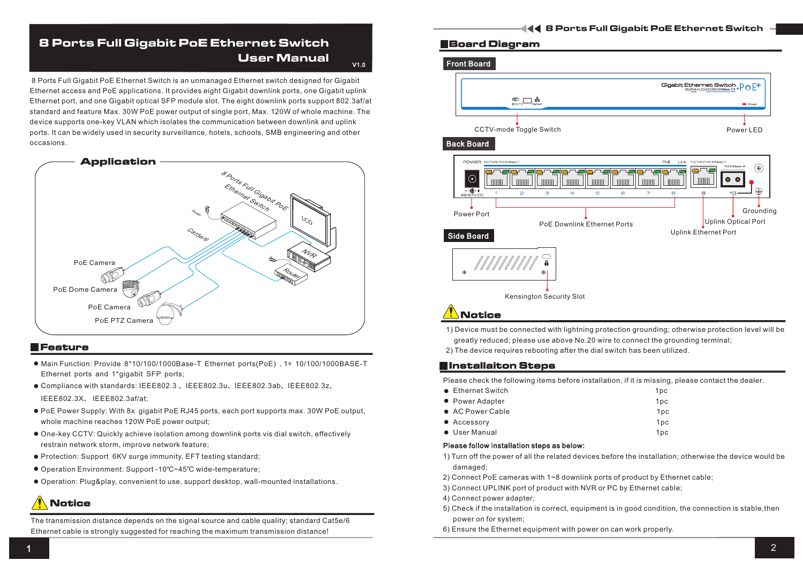## 8 Ports Full Gigabit PoE Ethernet Switch User Manual

V1.0

ports. It can be widely used in security surveillance, hotels, schools, SMB engineering and other occasions. 8 Ports Full Gigabit PoE Ethernet Switch is an unmanaged Ethernet switch designed for Gigabit Ethernet access and PoE applications. It provides eight Gigabit downlink ports, one Gigabit uplink Ethernet port, and one Gigabit optical SFP module slot. The eight downlink ports support 802.3af/at standard and feature Max. 30W PoE power output of single port, Max. 120W of whole machine. The device supports one-key VLAN which isolates the communication between downlink and uplink



#### Feature

- Main Function: Provide 8\*10/100/1000Base-T Ethernet ports(PoE) ,1\* 10/100/1000BASE-T Ethernet ports and 1\*gigabit SFP ports;
- Compliance with standards: IEEE802.3 、IEEE802.3u、IEEE802.3ab、IEEE802.3z、 IEEE802.3X、 IEEE802.3af/at;
- PoE Power Supply: With 8x gigabit PoE RJ45 ports, each port supports max. 30W PoE output, whole machine reaches 120W PoE power output;
- One-key CCTV: Quickly achieve isolation among downlink ports vis dial switch, effectively restrain network storm, improve network feature;
- Protection: Support 6KV surge immunity, EFT testing standard;
- Operation Environment: Support -10℃~45℃ wide-temperature;
- Operation: Plug&play, convenient to use, support desktop, wall-mounted installations.

## **Notice**

The transmission distance depends on the signal source and cable quality; standard Cat5e/6 Ethernet cable is strongly suggested for reaching the maximum transmission distance!

## Board Diagram



- 1) Device must be connected with lightning protection grounding; otherwise protection level will be greatly reduced; please use above No.20 wire to connect the grounding terminal;
- 2) The device requires rebooting after the dial switch has been utilized.

#### **Elnstallaiton Steps**

Please check the following items before installation, if it is missing, please contact the dealer.

| • Ethernet Switch | 1 <sub>pc</sub> |
|-------------------|-----------------|
| • Power Adapter   | 1 <sub>DC</sub> |
| • AC Power Cable  | 1 <sub>pc</sub> |
| • Accessory       | 1 <sub>DC</sub> |
| • User Manual     | 1 <sub>pc</sub> |

#### Please follow installation steps as below:

- 1) Turn off the power of all the related devices before the installation; otherwise the device would be damaged;
- ) 2 Connect PoE cameras with 1~8 downlink ports of product by Ethernet cable;
- ) 3 Connect UPLINK port of product with NVR or PC by Ethernet cable;
- 4) Connect power adapter;
- 5) Check if the installation is correct, equipment is in good condition, the connection is stable,then power on for system;
- 6) Ensure the Ethernet equipment with power on can work properly.